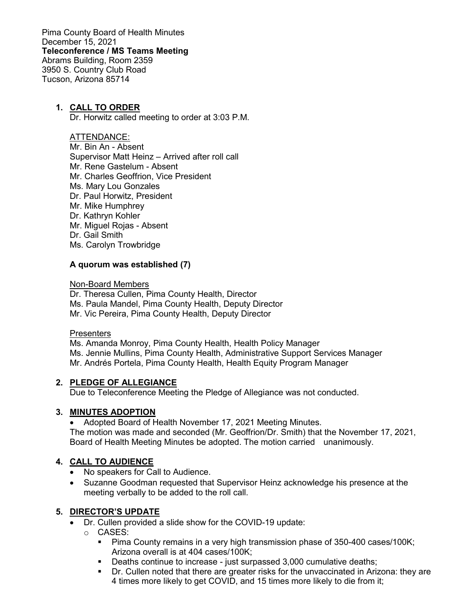Pima County Board of Health Minutes December 15, 2021 **Teleconference / MS Teams Meeting** Abrams Building, Room 2359 3950 S. Country Club Road Tucson, Arizona 85714

## **1. CALL TO ORDER**

Dr. Horwitz called meeting to order at 3:03 P.M.

#### ATTENDANCE:

Mr. Bin An - Absent Supervisor Matt Heinz – Arrived after roll call Mr. Rene Gastelum - Absent Mr. Charles Geoffrion, Vice President Ms. Mary Lou Gonzales Dr. Paul Horwitz, President Mr. Mike Humphrey Dr. Kathryn Kohler Mr. Miguel Rojas - Absent Dr. Gail Smith Ms. Carolyn Trowbridge

### **A quorum was established (7)**

Non-Board Members

Dr. Theresa Cullen, Pima County Health, Director Ms. Paula Mandel, Pima County Health, Deputy Director Mr. Vic Pereira, Pima County Health, Deputy Director

#### **Presenters**

Ms. Amanda Monroy, Pima County Health, Health Policy Manager Ms. Jennie Mullins, Pima County Health, Administrative Support Services Manager Mr. Andrés Portela, Pima County Health, Health Equity Program Manager

#### **2. PLEDGE OF ALLEGIANCE**

Due to Teleconference Meeting the Pledge of Allegiance was not conducted.

#### **3. MINUTES ADOPTION**

• Adopted Board of Health November 17, 2021 Meeting Minutes. The motion was made and seconded (Mr. Geoffrion/Dr. Smith) that the November 17, 2021, Board of Health Meeting Minutes be adopted. The motion carried unanimously.

#### **4. CALL TO AUDIENCE**

- No speakers for Call to Audience.
- Suzanne Goodman requested that Supervisor Heinz acknowledge his presence at the meeting verbally to be added to the roll call.

#### **5. DIRECTOR'S UPDATE**

- Dr. Cullen provided a slide show for the COVID-19 update:
	- o CASES:
		- **Pima County remains in a very high transmission phase of 350-400 cases/100K;** Arizona overall is at 404 cases/100K;
		- Deaths continue to increase just surpassed 3,000 cumulative deaths;<br>■ Dr. Cullen noted that there are greater risks for the unvaccinated in Ariz
		- Dr. Cullen noted that there are greater risks for the unvaccinated in Arizona: they are 4 times more likely to get COVID, and 15 times more likely to die from it;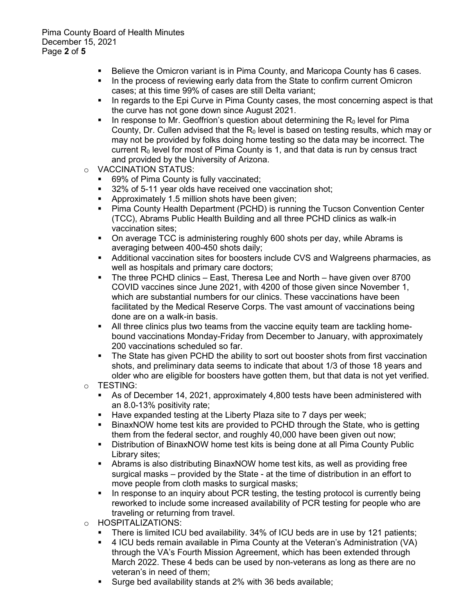- Believe the Omicron variant is in Pima County, and Maricopa County has 6 cases.
- In the process of reviewing early data from the State to confirm current Omicron cases; at this time 99% of cases are still Delta variant;
- In regards to the Epi Curve in Pima County cases, the most concerning aspect is that the curve has not gone down since August 2021.
- In response to Mr. Geoffrion's question about determining the  $R_0$  level for Pima County, Dr. Cullen advised that the  $R_0$  level is based on testing results, which may or may not be provided by folks doing home testing so the data may be incorrect. The current  $R_0$  level for most of Pima County is 1, and that data is run by census tract and provided by the University of Arizona.
- o VACCINATION STATUS:
	- 69% of Pima County is fully vaccinated;
	- 32% of 5-11 year olds have received one vaccination shot;
	- **Approximately 1.5 million shots have been given;**<br>**•** Pima County Health Department (PCHD) is runnir
	- Pima County Health Department (PCHD) is running the Tucson Convention Center (TCC), Abrams Public Health Building and all three PCHD clinics as walk-in vaccination sites;
	- On average TCC is administering roughly 600 shots per day, while Abrams is averaging between 400-450 shots daily;
	- Additional vaccination sites for boosters include CVS and Walgreens pharmacies, as well as hospitals and primary care doctors;
	- The three PCHD clinics East, Theresa Lee and North have given over 8700 COVID vaccines since June 2021, with 4200 of those given since November 1, which are substantial numbers for our clinics. These vaccinations have been facilitated by the Medical Reserve Corps. The vast amount of vaccinations being done are on a walk-in basis.
	- All three clinics plus two teams from the vaccine equity team are tackling homebound vaccinations Monday-Friday from December to January, with approximately 200 vaccinations scheduled so far.
	- The State has given PCHD the ability to sort out booster shots from first vaccination shots, and preliminary data seems to indicate that about 1/3 of those 18 years and older who are eligible for boosters have gotten them, but that data is not yet verified.
- o TESTING:
	- As of December 14, 2021, approximately 4,800 tests have been administered with an 8.0-13% positivity rate;
	- Have expanded testing at the Liberty Plaza site to 7 days per week;
	- BinaxNOW home test kits are provided to PCHD through the State, who is getting them from the federal sector, and roughly 40,000 have been given out now;
	- Distribution of BinaxNOW home test kits is being done at all Pima County Public Library sites;
	- Abrams is also distributing BinaxNOW home test kits, as well as providing free surgical masks – provided by the State - at the time of distribution in an effort to move people from cloth masks to surgical masks;
	- In response to an inquiry about PCR testing, the testing protocol is currently being reworked to include some increased availability of PCR testing for people who are traveling or returning from travel.
- HOSPITALIZATIONS:<br>■ There is limited ICL
	- There is limited ICU bed availability. 34% of ICU beds are in use by 121 patients;
	- 4 ICU beds remain available in Pima County at the Veteran's Administration (VA) through the VA's Fourth Mission Agreement, which has been extended through March 2022. These 4 beds can be used by non-veterans as long as there are no veteran's in need of them;
	- Surge bed availability stands at 2% with 36 beds available;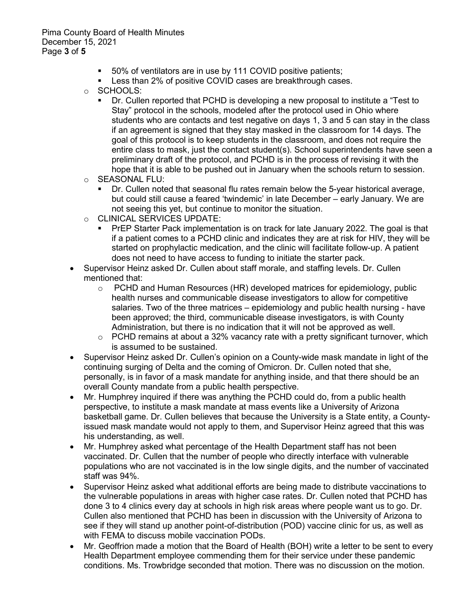Pima County Board of Health Minutes December 15, 2021 Page **3** of **5**

- 50% of ventilators are in use by 111 COVID positive patients;
- Less than 2% of positive COVID cases are breakthrough cases.
- o SCHOOLS:
	- Dr. Cullen reported that PCHD is developing a new proposal to institute a "Test to Stay" protocol in the schools, modeled after the protocol used in Ohio where students who are contacts and test negative on days 1, 3 and 5 can stay in the class if an agreement is signed that they stay masked in the classroom for 14 days. The goal of this protocol is to keep students in the classroom, and does not require the entire class to mask, just the contact student(s). School superintendents have seen a preliminary draft of the protocol, and PCHD is in the process of revising it with the hope that it is able to be pushed out in January when the schools return to session.
- o SEASONAL FLU:
	- Dr. Cullen noted that seasonal flu rates remain below the 5-year historical average, but could still cause a feared 'twindemic' in late December – early January. We are not seeing this yet, but continue to monitor the situation.
- o CLINICAL SERVICES UPDATE:
	- PrEP Starter Pack implementation is on track for late January 2022. The goal is that if a patient comes to a PCHD clinic and indicates they are at risk for HIV, they will be started on prophylactic medication, and the clinic will facilitate follow-up. A patient does not need to have access to funding to initiate the starter pack.
- Supervisor Heinz asked Dr. Cullen about staff morale, and staffing levels. Dr. Cullen mentioned that:
	- $\circ$  PCHD and Human Resources (HR) developed matrices for epidemiology, public health nurses and communicable disease investigators to allow for competitive salaries. Two of the three matrices – epidemiology and public health nursing - have been approved; the third, communicable disease investigators, is with County Administration, but there is no indication that it will not be approved as well.
	- $\circ$  PCHD remains at about a 32% vacancy rate with a pretty significant turnover, which is assumed to be sustained.
- Supervisor Heinz asked Dr. Cullen's opinion on a County-wide mask mandate in light of the continuing surging of Delta and the coming of Omicron. Dr. Cullen noted that she, personally, is in favor of a mask mandate for anything inside, and that there should be an overall County mandate from a public health perspective.
- Mr. Humphrey inquired if there was anything the PCHD could do, from a public health perspective, to institute a mask mandate at mass events like a University of Arizona basketball game. Dr. Cullen believes that because the University is a State entity, a Countyissued mask mandate would not apply to them, and Supervisor Heinz agreed that this was his understanding, as well.
- Mr. Humphrey asked what percentage of the Health Department staff has not been vaccinated. Dr. Cullen that the number of people who directly interface with vulnerable populations who are not vaccinated is in the low single digits, and the number of vaccinated staff was 94%.
- Supervisor Heinz asked what additional efforts are being made to distribute vaccinations to the vulnerable populations in areas with higher case rates. Dr. Cullen noted that PCHD has done 3 to 4 clinics every day at schools in high risk areas where people want us to go. Dr. Cullen also mentioned that PCHD has been in discussion with the University of Arizona to see if they will stand up another point-of-distribution (POD) vaccine clinic for us, as well as with FEMA to discuss mobile vaccination PODs.
- Mr. Geoffrion made a motion that the Board of Health (BOH) write a letter to be sent to every Health Department employee commending them for their service under these pandemic conditions. Ms. Trowbridge seconded that motion. There was no discussion on the motion.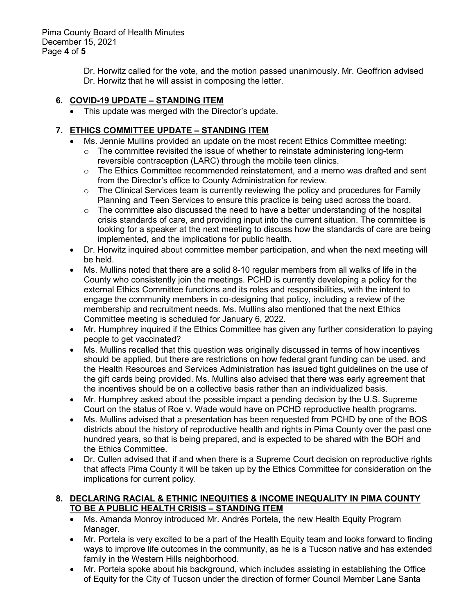Pima County Board of Health Minutes December 15, 2021 Page **4** of **5**

> Dr. Horwitz called for the vote, and the motion passed unanimously. Mr. Geoffrion advised Dr. Horwitz that he will assist in composing the letter.

# **6. COVID-19 UPDATE – STANDING ITEM**

• This update was merged with the Director's update.

# **7. ETHICS COMMITTEE UPDATE – STANDING ITEM**

- Ms. Jennie Mullins provided an update on the most recent Ethics Committee meeting:
	- $\circ$  The committee revisited the issue of whether to reinstate administering long-term reversible contraception (LARC) through the mobile teen clinics.
	- $\circ$  The Ethics Committee recommended reinstatement, and a memo was drafted and sent from the Director's office to County Administration for review.
	- $\circ$  The Clinical Services team is currently reviewing the policy and procedures for Family Planning and Teen Services to ensure this practice is being used across the board.
	- $\circ$  The committee also discussed the need to have a better understanding of the hospital crisis standards of care, and providing input into the current situation. The committee is looking for a speaker at the next meeting to discuss how the standards of care are being implemented, and the implications for public health.
- Dr. Horwitz inquired about committee member participation, and when the next meeting will be held.
- Ms. Mullins noted that there are a solid 8-10 regular members from all walks of life in the County who consistently join the meetings. PCHD is currently developing a policy for the external Ethics Committee functions and its roles and responsibilities, with the intent to engage the community members in co-designing that policy, including a review of the membership and recruitment needs. Ms. Mullins also mentioned that the next Ethics Committee meeting is scheduled for January 6, 2022.
- Mr. Humphrey inquired if the Ethics Committee has given any further consideration to paying people to get vaccinated?
- Ms. Mullins recalled that this question was originally discussed in terms of how incentives should be applied, but there are restrictions on how federal grant funding can be used, and the Health Resources and Services Administration has issued tight guidelines on the use of the gift cards being provided. Ms. Mullins also advised that there was early agreement that the incentives should be on a collective basis rather than an individualized basis.
- Mr. Humphrey asked about the possible impact a pending decision by the U.S. Supreme Court on the status of Roe v. Wade would have on PCHD reproductive health programs.
- Ms. Mullins advised that a presentation has been requested from PCHD by one of the BOS districts about the history of reproductive health and rights in Pima County over the past one hundred years, so that is being prepared, and is expected to be shared with the BOH and the Ethics Committee.
- Dr. Cullen advised that if and when there is a Supreme Court decision on reproductive rights that affects Pima County it will be taken up by the Ethics Committee for consideration on the implications for current policy.

# **8. DECLARING RACIAL & ETHNIC INEQUITIES & INCOME INEQUALITY IN PIMA COUNTY TO BE A PUBLIC HEALTH CRISIS – STANDING ITEM**

- Ms. Amanda Monroy introduced Mr. Andrés Portela, the new Health Equity Program Manager.
- Mr. Portela is very excited to be a part of the Health Equity team and looks forward to finding ways to improve life outcomes in the community, as he is a Tucson native and has extended family in the Western Hills neighborhood.
- Mr. Portela spoke about his background, which includes assisting in establishing the Office of Equity for the City of Tucson under the direction of former Council Member Lane Santa